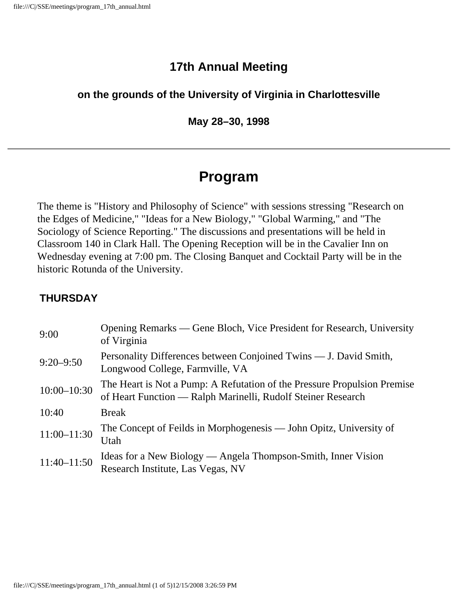## **17th Annual Meeting**

### **on the grounds of the University of Virginia in Charlottesville**

**May 28–30, 1998**

# **Program**

The theme is "History and Philosophy of Science" with sessions stressing "Research on the Edges of Medicine," "Ideas for a New Biology," "Global Warming," and "The Sociology of Science Reporting." The discussions and presentations will be held in Classroom 140 in Clark Hall. The Opening Reception will be in the Cavalier Inn on Wednesday evening at 7:00 pm. The Closing Banquet and Cocktail Party will be in the historic Rotunda of the University.

## **THURSDAY**

| 9:00            | Opening Remarks — Gene Bloch, Vice President for Research, University<br>of Virginia                                                     |
|-----------------|------------------------------------------------------------------------------------------------------------------------------------------|
| $9:20 - 9:50$   | Personality Differences between Conjoined Twins — J. David Smith,<br>Longwood College, Farmville, VA                                     |
| $10:00 - 10:30$ | The Heart is Not a Pump: A Refutation of the Pressure Propulsion Premise<br>of Heart Function — Ralph Marinelli, Rudolf Steiner Research |
| 10:40           | <b>Break</b>                                                                                                                             |
| $11:00 - 11:30$ | The Concept of Feilds in Morphogenesis — John Opitz, University of<br>Utah                                                               |
| $11:40 - 11:50$ | Ideas for a New Biology — Angela Thompson-Smith, Inner Vision<br>Research Institute, Las Vegas, NV                                       |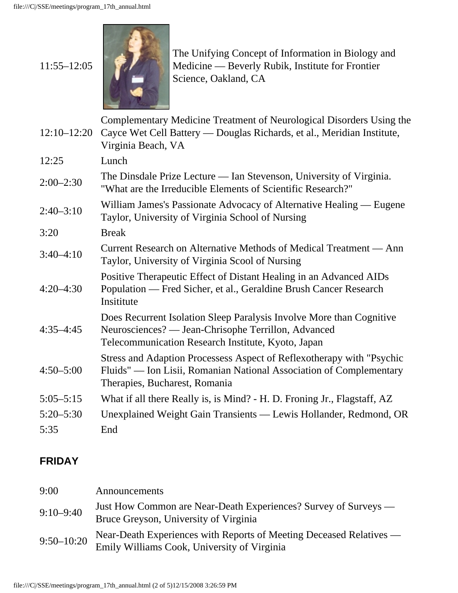



The Unifying Concept of Information in Biology and Medicine — Beverly Rubik, Institute for Frontier Science, Oakland, CA

12:10–12:20 Cayce Wet Cell Battery — Douglas Richards, et al., Meridian Institute, Complementary Medicine Treatment of Neurological Disorders Using the Virginia Beach, VA 12:25 Lunch 2:00–2:30 The Dinsdale Prize Lecture — Ian Stevenson, University of Virginia. "What are the Irreducible Elements of Scientific Research?" 2:40–3:10 William James's Passionate Advocacy of Alternative Healing — Eugene Taylor, University of Virginia School of Nursing 3:20 Break 3:40–4:10 Current Research on Alternative Methods of Medical Treatment — Ann Taylor, University of Virginia Scool of Nursing 4:20–4:30 Positive Therapeutic Effect of Distant Healing in an Advanced AIDs Population — Fred Sicher, et al., Geraldine Brush Cancer Research **Insititute** 4:35–4:45 Does Recurrent Isolation Sleep Paralysis Involve More than Cognitive Neurosciences? — Jean-Chrisophe Terrillon, Advanced Telecommunication Research Institute, Kyoto, Japan 4:50–5:00 Stress and Adaption Processess Aspect of Reflexotherapy with "Psychic Fluids" — Ion Lisii, Romanian National Association of Complementary Therapies, Bucharest, Romania 5:05–5:15 What if all there Really is, is Mind? - H. D. Froning Jr., Flagstaff, AZ 5:20–5:30 Unexplained Weight Gain Transients — Lewis Hollander, Redmond, OR 5:35 End

#### **FRIDAY**

| 9:00           | Announcements                                                                                                      |
|----------------|--------------------------------------------------------------------------------------------------------------------|
| $9:10 - 9:40$  | Just How Common are Near-Death Experiences? Survey of Surveys —<br>Bruce Greyson, University of Virginia           |
| $9:50 - 10:20$ | Near-Death Experiences with Reports of Meeting Deceased Relatives —<br>Emily Williams Cook, University of Virginia |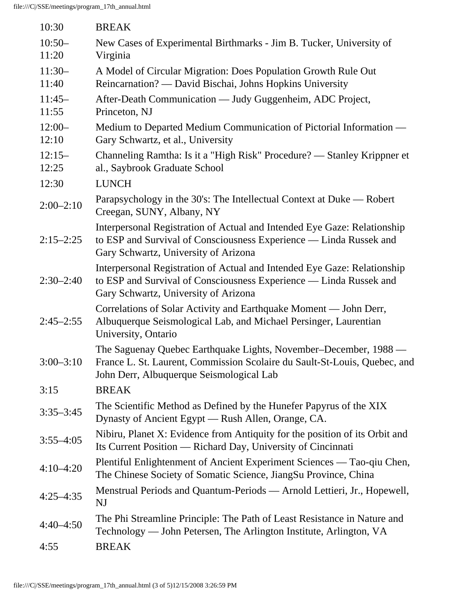| 10:30             | <b>BREAK</b>                                                                                                                                                                              |
|-------------------|-------------------------------------------------------------------------------------------------------------------------------------------------------------------------------------------|
| $10:50-$<br>11:20 | New Cases of Experimental Birthmarks - Jim B. Tucker, University of<br>Virginia                                                                                                           |
| $11:30-$<br>11:40 | A Model of Circular Migration: Does Population Growth Rule Out<br>Reincarnation? — David Bischai, Johns Hopkins University                                                                |
| $11:45-$<br>11:55 | After-Death Communication — Judy Guggenheim, ADC Project,<br>Princeton, NJ                                                                                                                |
| $12:00-$<br>12:10 | Medium to Departed Medium Communication of Pictorial Information —<br>Gary Schwartz, et al., University                                                                                   |
| $12:15-$<br>12:25 | Channeling Ramtha: Is it a "High Risk" Procedure? — Stanley Krippner et<br>al., Saybrook Graduate School                                                                                  |
| 12:30             | <b>LUNCH</b>                                                                                                                                                                              |
| $2:00 - 2:10$     | Parapsychology in the 30's: The Intellectual Context at Duke — Robert<br>Creegan, SUNY, Albany, NY                                                                                        |
| $2:15 - 2:25$     | Interpersonal Registration of Actual and Intended Eye Gaze: Relationship<br>to ESP and Survival of Consciousness Experience — Linda Russek and<br>Gary Schwartz, University of Arizona    |
| $2:30-2:40$       | Interpersonal Registration of Actual and Intended Eye Gaze: Relationship<br>to ESP and Survival of Consciousness Experience — Linda Russek and<br>Gary Schwartz, University of Arizona    |
| $2:45 - 2:55$     | Correlations of Solar Activity and Earthquake Moment — John Derr,<br>Albuquerque Seismological Lab, and Michael Persinger, Laurentian<br>University, Ontario                              |
| $3:00 - 3:10$     | The Saguenay Quebec Earthquake Lights, November–December, 1988 —<br>France L. St. Laurent, Commission Scolaire du Sault-St-Louis, Quebec, and<br>John Derr, Albuquerque Seismological Lab |
| 3:15              | <b>BREAK</b>                                                                                                                                                                              |
| $3:35 - 3:45$     | The Scientific Method as Defined by the Hunefer Papyrus of the XIX<br>Dynasty of Ancient Egypt — Rush Allen, Orange, CA.                                                                  |
| $3:55 - 4:05$     | Nibiru, Planet X: Evidence from Antiquity for the position of its Orbit and<br>Its Current Position — Richard Day, University of Cincinnati                                               |
| $4:10 - 4:20$     | Plentiful Enlightenment of Ancient Experiment Sciences — Tao-qiu Chen,<br>The Chinese Society of Somatic Science, JiangSu Province, China                                                 |
| $4:25-4:35$       | Menstrual Periods and Quantum-Periods — Arnold Lettieri, Jr., Hopewell,<br><b>NJ</b>                                                                                                      |
| $4:40 - 4:50$     | The Phi Streamline Principle: The Path of Least Resistance in Nature and<br>Technology — John Petersen, The Arlington Institute, Arlington, VA                                            |
| 4:55              | <b>BREAK</b>                                                                                                                                                                              |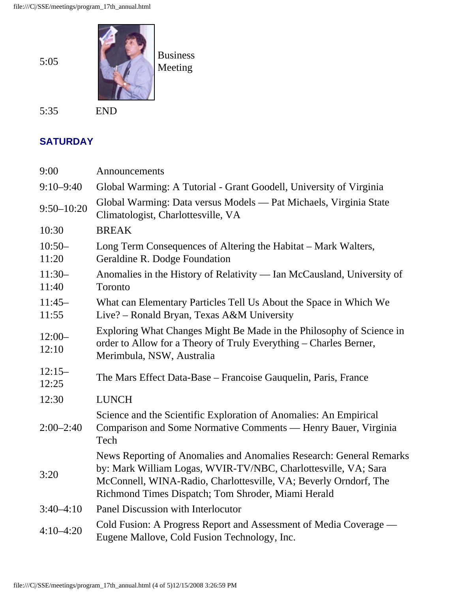

Meeting

5:35 END

#### **SATURDAY**

| 9:00              | Announcements                                                                                                                                                                                                                                                   |
|-------------------|-----------------------------------------------------------------------------------------------------------------------------------------------------------------------------------------------------------------------------------------------------------------|
| $9:10 - 9:40$     | Global Warming: A Tutorial - Grant Goodell, University of Virginia                                                                                                                                                                                              |
| $9:50 - 10:20$    | Global Warming: Data versus Models — Pat Michaels, Virginia State<br>Climatologist, Charlottesville, VA                                                                                                                                                         |
| 10:30             | <b>BREAK</b>                                                                                                                                                                                                                                                    |
| $10:50-$<br>11:20 | Long Term Consequences of Altering the Habitat - Mark Walters,<br>Geraldine R. Dodge Foundation                                                                                                                                                                 |
| $11:30-$<br>11:40 | Anomalies in the History of Relativity — Ian McCausland, University of<br>Toronto                                                                                                                                                                               |
| $11:45-$<br>11:55 | What can Elementary Particles Tell Us About the Space in Which We<br>Live? – Ronald Bryan, Texas A&M University                                                                                                                                                 |
| $12:00-$<br>12:10 | Exploring What Changes Might Be Made in the Philosophy of Science in<br>order to Allow for a Theory of Truly Everything - Charles Berner,<br>Merimbula, NSW, Australia                                                                                          |
| $12:15-$<br>12:25 | The Mars Effect Data-Base – Francoise Gauquelin, Paris, France                                                                                                                                                                                                  |
| 12:30             | <b>LUNCH</b>                                                                                                                                                                                                                                                    |
| $2:00 - 2:40$     | Science and the Scientific Exploration of Anomalies: An Empirical<br>Comparison and Some Normative Comments — Henry Bauer, Virginia<br>Tech                                                                                                                     |
| 3:20              | News Reporting of Anomalies and Anomalies Research: General Remarks<br>by: Mark William Logas, WVIR-TV/NBC, Charlottesville, VA; Sara<br>McConnell, WINA-Radio, Charlottesville, VA; Beverly Orndorf, The<br>Richmond Times Dispatch; Tom Shroder, Miami Herald |
| $3:40-4:10$       | Panel Discussion with Interlocutor                                                                                                                                                                                                                              |
| $4:10-4:20$       | Cold Fusion: A Progress Report and Assessment of Media Coverage —<br>Eugene Mallove, Cold Fusion Technology, Inc.                                                                                                                                               |